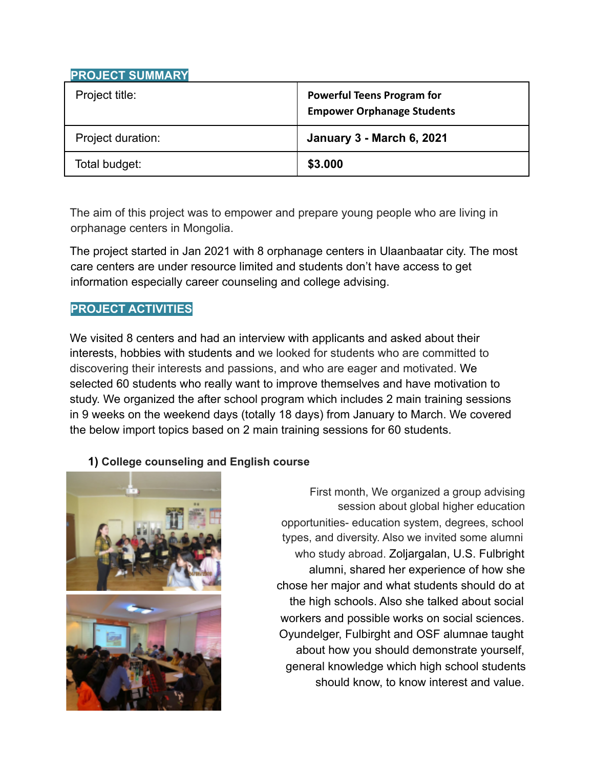# **PROJECT SUMMARY**

| Project title:    | <b>Powerful Teens Program for</b><br><b>Empower Orphanage Students</b> |
|-------------------|------------------------------------------------------------------------|
| Project duration: | <b>January 3 - March 6, 2021</b>                                       |
| Total budget:     | \$3.000                                                                |

The aim of this project was to empower and prepare young people who are living in orphanage centers in Mongolia.

The project started in Jan 2021 with 8 orphanage centers in Ulaanbaatar city. The most care centers are under resource limited and students don't have access to get information especially career counseling and college advising.

# **PROJECT ACTIVITIES**

We visited 8 centers and had an interview with applicants and asked about their interests, hobbies with students and we looked for students who are committed to discovering their interests and passions, and who are eager and motivated. We selected 60 students who really want to improve themselves and have motivation to study. We organized the after school program which includes 2 main training sessions in 9 weeks on the weekend days (totally 18 days) from January to March. We covered the below import topics based on 2 main training sessions for 60 students.

## **1) College counseling and English course**



First month, We organized a group advising session about global higher education opportunities- education system, degrees, school types, and diversity. Also we invited some alumni who study abroad. Zoljargalan, U.S. Fulbright alumni, shared her experience of how she chose her major and what students should do at the high schools. Also she talked about social workers and possible works on social sciences. Oyundelger, Fulbirght and OSF alumnae taught about how you should demonstrate yourself, general knowledge which high school students should know, to know interest and value.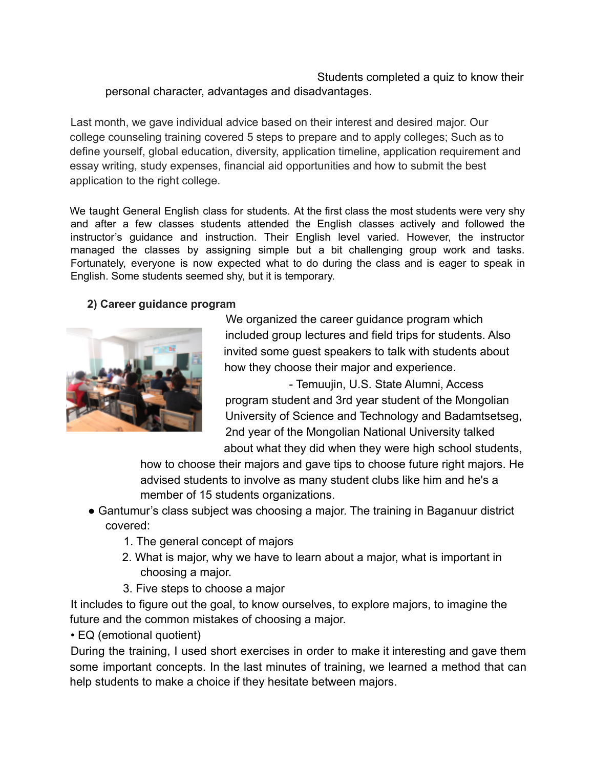### Students completed a quiz to know their personal character, advantages and disadvantages.

Last month, we gave individual advice based on their interest and desired major. Our college counseling training covered 5 steps to prepare and to apply colleges; Such as to define yourself, global education, diversity, application timeline, application requirement and essay writing, study expenses, financial aid opportunities and how to submit the best application to the right college.

We taught General English class for students. At the first class the most students were very shy and after a few classes students attended the English classes actively and followed the instructor's guidance and instruction. Their English level varied. However, the instructor managed the classes by assigning simple but a bit challenging group work and tasks. Fortunately, everyone is now expected what to do during the class and is eager to speak in English. Some students seemed shy, but it is temporary.

### **2) Career guidance program**



We organized the career guidance program which included group lectures and field trips for students. Also invited some guest speakers to talk with students about how they choose their major and experience.

- Temuujin, U.S. State Alumni, Access program student and 3rd year student of the Mongolian University of Science and Technology and Badamtsetseg, 2nd year of the Mongolian National University talked about what they did when they were high school students,

how to choose their majors and gave tips to choose future right majors. He advised students to involve as many student clubs like him and he's a member of 15 students organizations.

- Gantumur's class subject was choosing a major. The training in Baganuur district covered:
	- 1. The general concept of majors
	- 2. What is major, why we have to learn about a major, what is important in choosing a major.
	- 3. Five steps to choose a major

It includes to figure out the goal, to know ourselves, to explore majors, to imagine the future and the common mistakes of choosing a major.

• EQ (emotional quotient)

During the training, I used short exercises in order to make it interesting and gave them some important concepts. In the last minutes of training, we learned a method that can help students to make a choice if they hesitate between majors.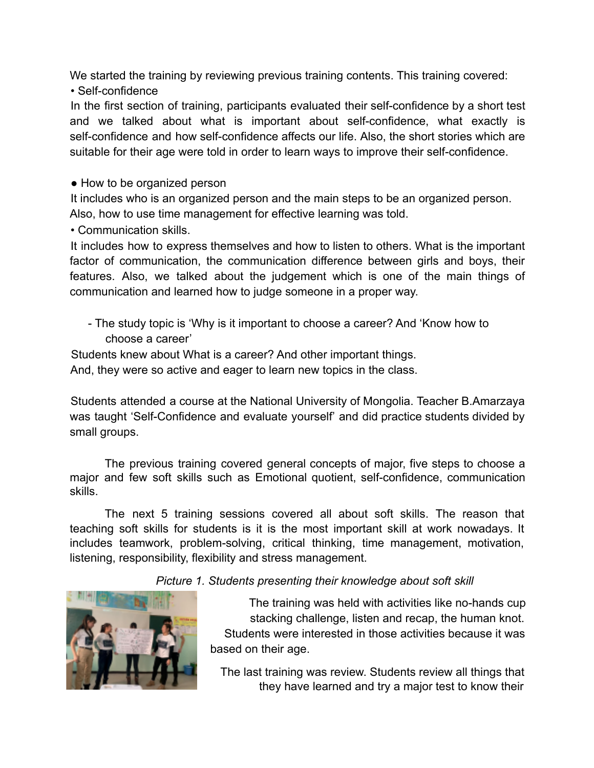We started the training by reviewing previous training contents. This training covered: • Self-confidence

In the first section of training, participants evaluated their self-confidence by a short test and we talked about what is important about self-confidence, what exactly is self-confidence and how self-confidence affects our life. Also, the short stories which are suitable for their age were told in order to learn ways to improve their self-confidence.

• How to be organized person

It includes who is an organized person and the main steps to be an organized person. Also, how to use time management for effective learning was told.

• Communication skills.

It includes how to express themselves and how to listen to others. What is the important factor of communication, the communication difference between girls and boys, their features. Also, we talked about the judgement which is one of the main things of communication and learned how to judge someone in a proper way.

- The study topic is 'Why is it important to choose a career? And 'Know how to choose a career'

Students knew about What is a career? And other important things.

And, they were so active and eager to learn new topics in the class.

Students attended a course at the National University of Mongolia. Teacher B.Amarzaya was taught 'Self-Confidence and evaluate yourself' and did practice students divided by small groups.

The previous training covered general concepts of major, five steps to choose a major and few soft skills such as Emotional quotient, self-confidence, communication skills.

The next 5 training sessions covered all about soft skills. The reason that teaching soft skills for students is it is the most important skill at work nowadays. It includes teamwork, problem-solving, critical thinking, time management, motivation, listening, responsibility, flexibility and stress management.

*Picture 1. Students presenting their knowledge about soft skill*



The training was held with activities like no-hands cup stacking challenge, listen and recap, the human knot. Students were interested in those activities because it was based on their age.

The last training was review. Students review all things that they have learned and try a major test to know their